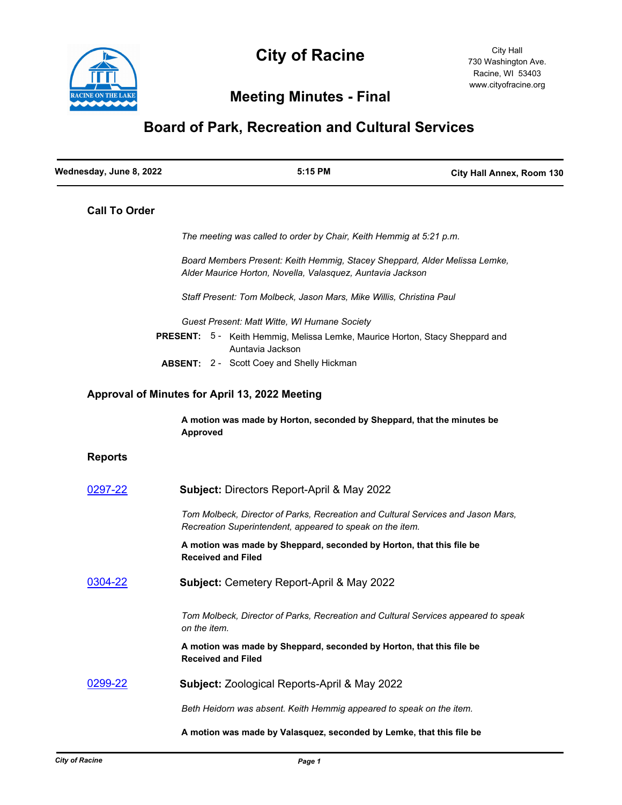

## **City of Racine**

## **Meeting Minutes - Final**

## **Board of Park, Recreation and Cultural Services**

| Wednesday, June 8, 2022 |                           | 5:15 PM                                                                                                                                       | City Hall Annex, Room 130 |
|-------------------------|---------------------------|-----------------------------------------------------------------------------------------------------------------------------------------------|---------------------------|
| <b>Call To Order</b>    |                           |                                                                                                                                               |                           |
|                         |                           | The meeting was called to order by Chair, Keith Hemmig at 5:21 p.m.                                                                           |                           |
|                         |                           | Board Members Present: Keith Hemmig, Stacey Sheppard, Alder Melissa Lemke,<br>Alder Maurice Horton, Novella, Valasquez, Auntavia Jackson      |                           |
|                         |                           | Staff Present: Tom Molbeck, Jason Mars, Mike Willis, Christina Paul                                                                           |                           |
|                         |                           | Guest Present: Matt Witte, WI Humane Society                                                                                                  |                           |
|                         |                           | <b>PRESENT:</b> 5 - Keith Hemmig, Melissa Lemke, Maurice Horton, Stacy Sheppard and<br>Auntavia Jackson                                       |                           |
|                         |                           | <b>ABSENT: 2 - Scott Coey and Shelly Hickman</b>                                                                                              |                           |
|                         |                           | Approval of Minutes for April 13, 2022 Meeting                                                                                                |                           |
|                         | <b>Approved</b>           | A motion was made by Horton, seconded by Sheppard, that the minutes be                                                                        |                           |
| <b>Reports</b>          |                           |                                                                                                                                               |                           |
| 0297-22                 |                           | Subject: Directors Report-April & May 2022                                                                                                    |                           |
|                         |                           | Tom Molbeck, Director of Parks, Recreation and Cultural Services and Jason Mars,<br>Recreation Superintendent, appeared to speak on the item. |                           |
|                         | <b>Received and Filed</b> | A motion was made by Sheppard, seconded by Horton, that this file be                                                                          |                           |
| 0304-22                 |                           | Subject: Cemetery Report-April & May 2022                                                                                                     |                           |
|                         | on the item.              | Tom Molbeck, Director of Parks, Recreation and Cultural Services appeared to speak                                                            |                           |
|                         | <b>Received and Filed</b> | A motion was made by Sheppard, seconded by Horton, that this file be                                                                          |                           |
| 0299-22                 |                           | Subject: Zoological Reports-April & May 2022                                                                                                  |                           |
|                         |                           | Beth Heidorn was absent. Keith Hemmig appeared to speak on the item.                                                                          |                           |
|                         |                           | A motion was made by Valasquez, seconded by Lemke, that this file be                                                                          |                           |